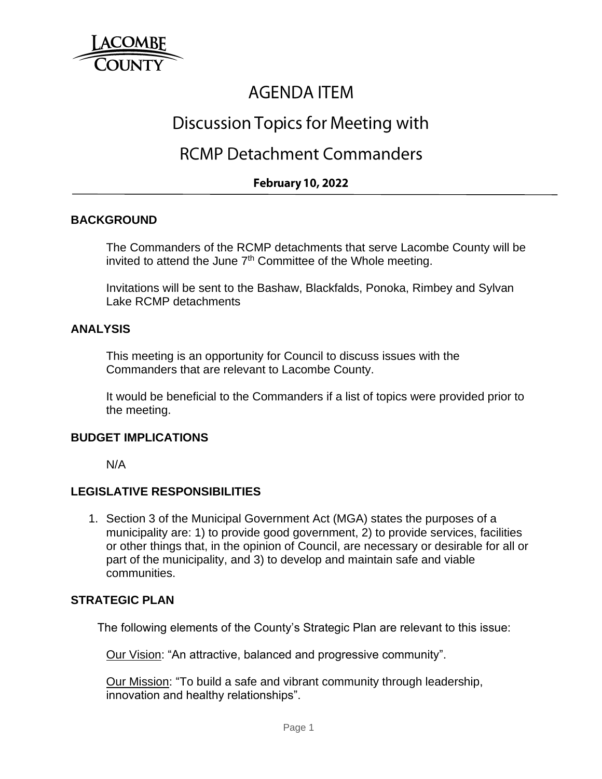

# **AGENDA ITEM**

# Discussion Topics for Meeting with

### **RCMP Detachment Commanders**

### **February 10, 2022**

#### **BACKGROUND**

The Commanders of the RCMP detachments that serve Lacombe County will be invited to attend the June  $7<sup>th</sup>$  Committee of the Whole meeting.

Invitations will be sent to the Bashaw, Blackfalds, Ponoka, Rimbey and Sylvan Lake RCMP detachments

#### **ANALYSIS**

This meeting is an opportunity for Council to discuss issues with the Commanders that are relevant to Lacombe County.

It would be beneficial to the Commanders if a list of topics were provided prior to the meeting.

#### **BUDGET IMPLICATIONS**

N/A

#### **LEGISLATIVE RESPONSIBILITIES**

1. Section 3 of the Municipal Government Act (MGA) states the purposes of a municipality are: 1) to provide good government, 2) to provide services, facilities or other things that, in the opinion of Council, are necessary or desirable for all or part of the municipality, and 3) to develop and maintain safe and viable communities.

#### **STRATEGIC PLAN**

The following elements of the County's Strategic Plan are relevant to this issue:

Our Vision: "An attractive, balanced and progressive community".

Our Mission: "To build a safe and vibrant community through leadership, innovation and healthy relationships".